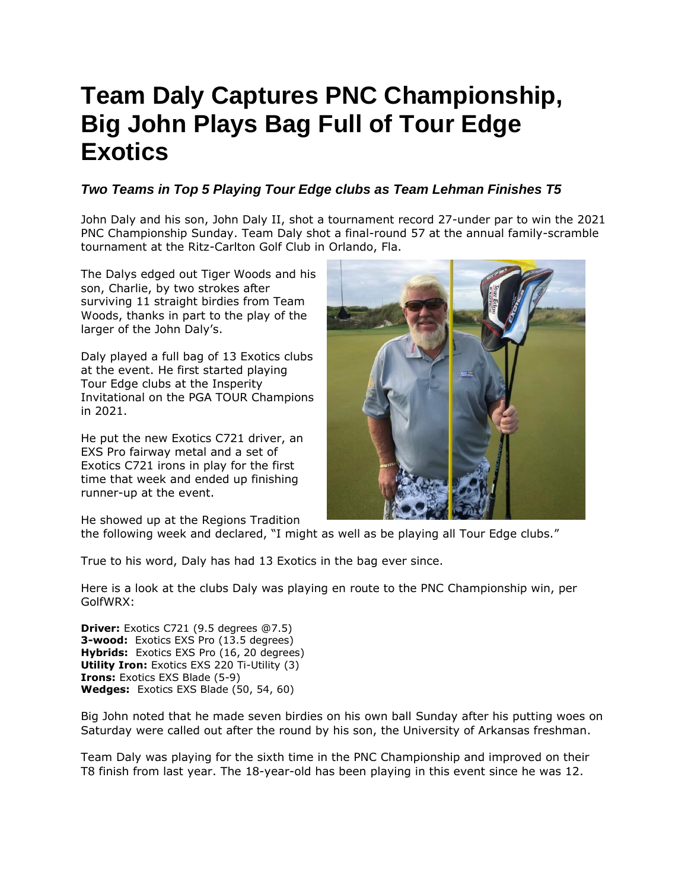## **Team Daly Captures PNC Championship, Big John Plays Bag Full of Tour Edge Exotics**

## *Two Teams in Top 5 Playing Tour Edge clubs as Team Lehman Finishes T5*

John Daly and his son, John Daly II, shot a tournament record 27-under par to win the 2021 PNC Championship Sunday. Team Daly shot a final-round 57 at the annual family-scramble tournament at the Ritz-Carlton Golf Club in Orlando, Fla.

The Dalys edged out Tiger Woods and his son, Charlie, by two strokes after surviving 11 straight birdies from Team Woods, thanks in part to the play of the larger of the John Daly's.

Daly played a full bag of 13 Exotics clubs at the event. He first started playing Tour Edge clubs at the Insperity Invitational on the PGA TOUR Champions in 2021.

He put the new Exotics C721 driver, an EXS Pro fairway metal and a set of Exotics C721 irons in play for the first time that week and ended up finishing runner-up at the event.

He showed up at the Regions Tradition



True to his word, Daly has had 13 Exotics in the bag ever since.

Here is a look at the clubs Daly was playing en route to the PNC Championship win, per GolfWRX:

**Driver:** Exotics C721 (9.5 degrees @7.5) **3-wood:** Exotics EXS Pro (13.5 degrees) **Hybrids:** Exotics EXS Pro (16, 20 degrees) **Utility Iron:** Exotics EXS 220 Ti-Utility (3) **Irons:** Exotics EXS Blade (5-9) **Wedges:** Exotics EXS Blade (50, 54, 60)

Big John noted that he made seven birdies on his own ball Sunday after his putting woes on Saturday were called out after the round by his son, the University of Arkansas freshman.

Team Daly was playing for the sixth time in the PNC Championship and improved on their T8 finish from last year. The 18-year-old has been playing in this event since he was 12.